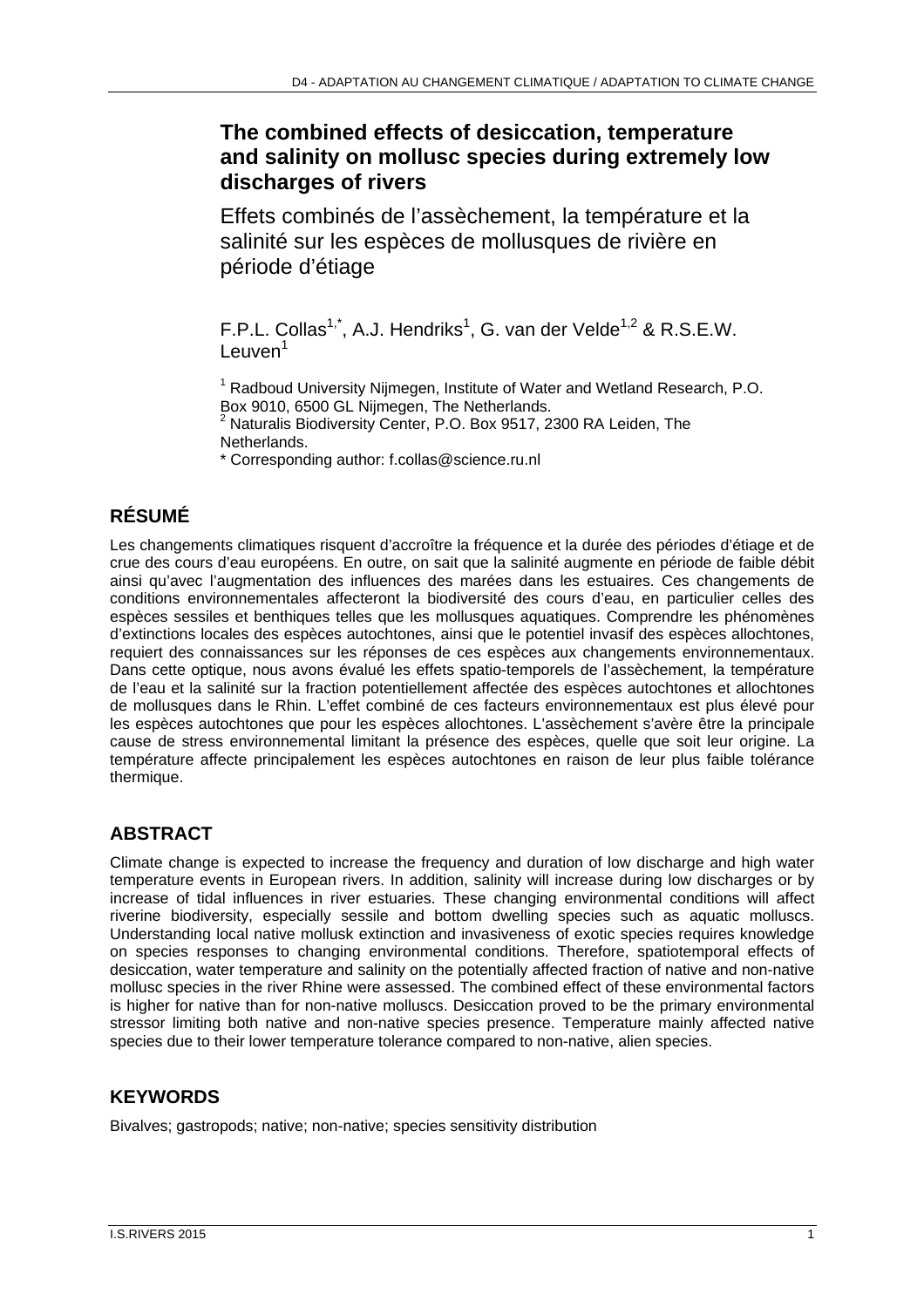# **The combined effects of desiccation, temperature and salinity on mollusc species during extremely low discharges of rivers**

Effets combinés de l'assèchement, la température et la salinité sur les espèces de mollusques de rivière en période d'étiage

F.P.L. Collas<sup>1,\*</sup>, A.J. Hendriks<sup>1</sup>, G. van der Velde<sup>1,2</sup> & R.S.E.W.  $L$ euven<sup>1</sup>

<sup>1</sup> Radboud University Nijmegen, Institute of Water and Wetland Research, P.O. Box 9010, 6500 GL Nijmegen, The Netherlands. 2 Naturalis Biodiversity Center, P.O. Box 9517, 2300 RA Leiden, The

Netherlands.

\* Corresponding author: f.collas@science.ru.nl

## **RÉSUMÉ**

Les changements climatiques risquent d'accroître la fréquence et la durée des périodes d'étiage et de crue des cours d'eau européens. En outre, on sait que la salinité augmente en période de faible débit ainsi qu'avec l'augmentation des influences des marées dans les estuaires. Ces changements de conditions environnementales affecteront la biodiversité des cours d'eau, en particulier celles des espèces sessiles et benthiques telles que les mollusques aquatiques. Comprendre les phénomènes d'extinctions locales des espèces autochtones, ainsi que le potentiel invasif des espèces allochtones, requiert des connaissances sur les réponses de ces espèces aux changements environnementaux. Dans cette optique, nous avons évalué les effets spatio-temporels de l'assèchement, la température de l'eau et la salinité sur la fraction potentiellement affectée des espèces autochtones et allochtones de mollusques dans le Rhin. L'effet combiné de ces facteurs environnementaux est plus élevé pour les espèces autochtones que pour les espèces allochtones. L'assèchement s'avère être la principale cause de stress environnemental limitant la présence des espèces, quelle que soit leur origine. La température affecte principalement les espèces autochtones en raison de leur plus faible tolérance thermique.

## **ABSTRACT**

Climate change is expected to increase the frequency and duration of low discharge and high water temperature events in European rivers. In addition, salinity will increase during low discharges or by increase of tidal influences in river estuaries. These changing environmental conditions will affect riverine biodiversity, especially sessile and bottom dwelling species such as aquatic molluscs. Understanding local native mollusk extinction and invasiveness of exotic species requires knowledge on species responses to changing environmental conditions. Therefore, spatiotemporal effects of desiccation, water temperature and salinity on the potentially affected fraction of native and non-native mollusc species in the river Rhine were assessed. The combined effect of these environmental factors is higher for native than for non-native molluscs. Desiccation proved to be the primary environmental stressor limiting both native and non-native species presence. Temperature mainly affected native species due to their lower temperature tolerance compared to non-native, alien species.

### **KEYWORDS**

Bivalves; gastropods; native; non-native; species sensitivity distribution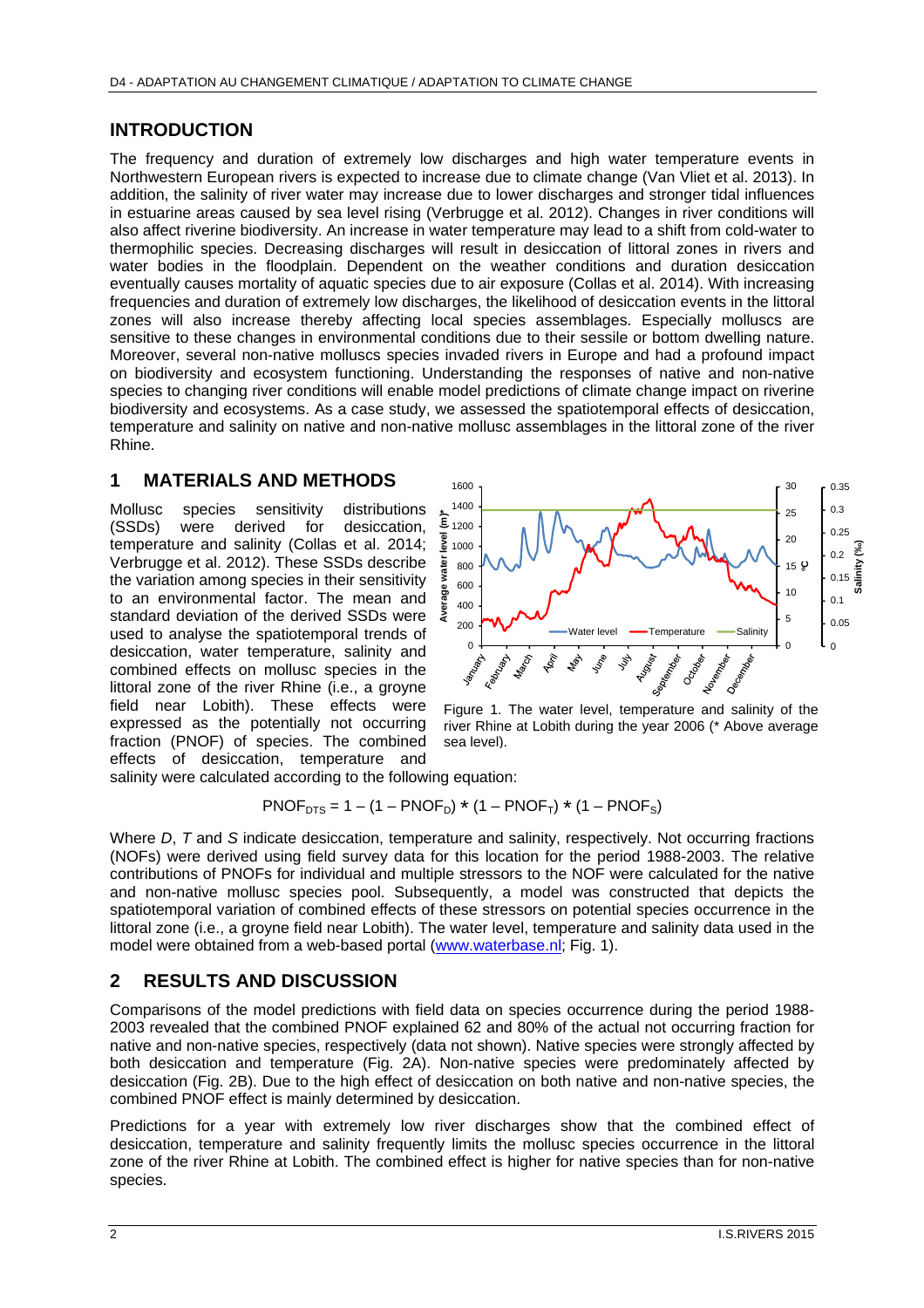#### **INTRODUCTION**

The frequency and duration of extremely low discharges and high water temperature events in Northwestern European rivers is expected to increase due to climate change (Van Vliet et al. 2013). In addition, the salinity of river water may increase due to lower discharges and stronger tidal influences in estuarine areas caused by sea level rising (Verbrugge et al. 2012). Changes in river conditions will also affect riverine biodiversity. An increase in water temperature may lead to a shift from cold-water to thermophilic species. Decreasing discharges will result in desiccation of littoral zones in rivers and water bodies in the floodplain. Dependent on the weather conditions and duration desiccation eventually causes mortality of aquatic species due to air exposure (Collas et al. 2014). With increasing frequencies and duration of extremely low discharges, the likelihood of desiccation events in the littoral zones will also increase thereby affecting local species assemblages. Especially molluscs are sensitive to these changes in environmental conditions due to their sessile or bottom dwelling nature. Moreover, several non-native molluscs species invaded rivers in Europe and had a profound impact on biodiversity and ecosystem functioning. Understanding the responses of native and non-native species to changing river conditions will enable model predictions of climate change impact on riverine biodiversity and ecosystems. As a case study, we assessed the spatiotemporal effects of desiccation, temperature and salinity on native and non-native mollusc assemblages in the littoral zone of the river Rhine.

#### **1 MATERIALS AND METHODS**

Mollusc species sensitivity distributions (SSDs) were derived for desiccation, temperature and salinity (Collas et al. 2014; Verbrugge et al. 2012). These SSDs describe the variation among species in their sensitivity to an environmental factor. The mean and standard deviation of the derived SSDs were used to analyse the spatiotemporal trends of desiccation, water temperature, salinity and combined effects on mollusc species in the littoral zone of the river Rhine (i.e., a groyne field near Lobith). These effects were expressed as the potentially not occurring fraction (PNOF) of species. The combined effects of desiccation, temperature and





salinity were calculated according to the following equation:

$$
PNOF_{\text{DTS}} = 1 - (1 - PNOF_{\text{D}}) * (1 - PNOF_{\text{T}}) * (1 - PNOF_{\text{S}})
$$

Where *D*, *T* and *S* indicate desiccation, temperature and salinity, respectively. Not occurring fractions (NOFs) were derived using field survey data for this location for the period 1988-2003. The relative contributions of PNOFs for individual and multiple stressors to the NOF were calculated for the native and non-native mollusc species pool. Subsequently, a model was constructed that depicts the spatiotemporal variation of combined effects of these stressors on potential species occurrence in the littoral zone (i.e., a groyne field near Lobith). The water level, temperature and salinity data used in the model were obtained from a web-based portal (www.waterbase.nl; Fig. 1).

### **2 RESULTS AND DISCUSSION**

Comparisons of the model predictions with field data on species occurrence during the period 1988- 2003 revealed that the combined PNOF explained 62 and 80% of the actual not occurring fraction for native and non-native species, respectively (data not shown). Native species were strongly affected by both desiccation and temperature (Fig. 2A). Non-native species were predominately affected by desiccation (Fig. 2B). Due to the high effect of desiccation on both native and non-native species, the combined PNOF effect is mainly determined by desiccation.

Predictions for a year with extremely low river discharges show that the combined effect of desiccation, temperature and salinity frequently limits the mollusc species occurrence in the littoral zone of the river Rhine at Lobith. The combined effect is higher for native species than for non-native species.